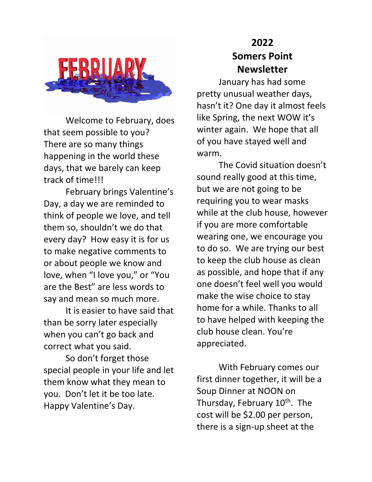

Welcome to February, does that seem possible to you? There are so many things happening in the world these days, that we barely can keep track of time!!!

February brings Valentine's Day, a day we are reminded to think of people we love, and tell them so, shouldn't we do that every day? How easy it is for us to make negative comments to or about people we know and love, when "I love you," or "You are the Best" are less words to say and mean so much more.

It is easier to have said that than be sorry later especially when you can't go back and correct what you said.

So don't forget those special people in your life and let them know what they mean to you. Don't let it be too late. Happy Valentine's Day.

## **2022 Somers Point Newsletter**

January has had some pretty unusual weather days, hasn't it? One day it almost feels like Spring, the next WOW it's winter again. We hope that all of you have stayed well and warm.

The Covid situation doesn't sound really good at this time, but we are not going to be requiring you to wear masks while at the club house, however if you are more comfortable wearing one, we encourage you to do so. We are trying our best to keep the club house as clean as possible, and hope that if any one doesn't feel well you would make the wise choice to stay home for a while. Thanks to all to have helped with keeping the club house clean. You're appreciated.

With February comes our first dinner together, it will be a Soup Dinner at NOON on Thursday, February 10<sup>th</sup>. The cost will be \$2.00 per person, there is a sign-up sheet at the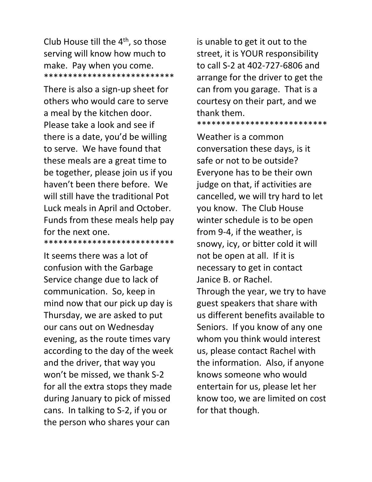Club House till the 4th, so those serving will know how much to make. Pay when you come. \*\*\*\*\*\*\*\*\*\*\*\*\*\*\*\*\*\*\*\*\*\*\*\*\*\*\*

There is also a sign-up sheet for others who would care to serve a meal by the kitchen door. Please take a look and see if there is a date, you'd be willing to serve. We have found that these meals are a great time to be together, please join us if you haven't been there before. We will still have the traditional Pot Luck meals in April and October. Funds from these meals help pay for the next one. \*\*\*\*\*\*\*\*\*\*\*\*\*\*\*\*\*\*\*\*\*\*\*\*\*\*\*

It seems there was a lot of confusion with the Garbage Service change due to lack of communication. So, keep in mind now that our pick up day is Thursday, we are asked to put our cans out on Wednesday evening, as the route times vary according to the day of the week and the driver, that way you won't be missed, we thank S-2 for all the extra stops they made during January to pick of missed cans. In talking to S-2, if you or the person who shares your can

is unable to get it out to the street, it is YOUR responsibility to call S-2 at 402-727-6806 and arrange for the driver to get the can from you garage. That is a courtesy on their part, and we thank them.

\*\*\*\*\*\*\*\*\*\*\*\*\*\*\*\*\*\*\*\*\*\*\*\*\*\*\*

Weather is a common conversation these days, is it safe or not to be outside? Everyone has to be their own judge on that, if activities are cancelled, we will try hard to let you know. The Club House winter schedule is to be open from 9-4, if the weather, is snowy, icy, or bitter cold it will not be open at all. If it is necessary to get in contact Janice B. or Rachel. Through the year, we try to have guest speakers that share with us different benefits available to Seniors. If you know of any one whom you think would interest us, please contact Rachel with the information. Also, if anyone knows someone who would entertain for us, please let her know too, we are limited on cost for that though.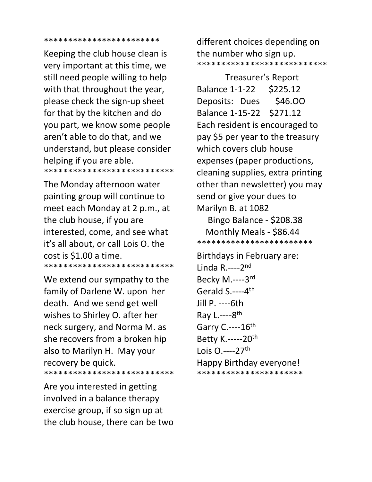## \*\*\*\*\*\*\*\*\*\*\*\*\*\*\*\*\*\*\*\*\*\*\*\*

Keeping the club house clean is very important at this time, we still need people willing to help with that throughout the year, please check the sign-up sheet for that by the kitchen and do you part, we know some people aren't able to do that, and we understand, but please consider helping if you are able. \*\*\*\*\*\*\*\*\*\*\*\*\*\*\*\*\*\*\*\*\*\*\*\*\*\*\*

The Monday afternoon water painting group will continue to meet each Monday at 2 p.m., at the club house, if you are interested, come, and see what it's all about, or call Lois O. the cost is \$1.00 a time. \*\*\*\*\*\*\*\*\*\*\*\*\*\*\*\*\*\*\*\*\*\*\*\*\*\*\*

We extend our sympathy to the family of Darlene W. upon her death. And we send get well wishes to Shirley O. after her neck surgery, and Norma M. as she recovers from a broken hip also to Marilyn H. May your recovery be quick. \*\*\*\*\*\*\*\*\*\*\*\*\*\*\*\*\*\*\*\*\*\*\*\*\*\*\*

Are you interested in getting involved in a balance therapy exercise group, if so sign up at the club house, there can be two

different choices depending on the number who sign up. \*\*\*\*\*\*\*\*\*\*\*\*\*\*\*\*\*\*\*\*\*\*\*\*\*\*\*

 Treasurer's Report Balance 1-1-22 \$225.12 Deposits: Dues \$46.00 Balance 1-15-22 \$271.12 Each resident is encouraged to pay \$5 per year to the treasury which covers club house expenses (paper productions, cleaning supplies, extra printing other than newsletter) you may send or give your dues to Marilyn B. at 1082 Bingo Balance - \$208.38 Monthly Meals - \$86.44 \*\*\*\*\*\*\*\*\*\*\*\*\*\*\*\*\*\*\*\*\*\*\*\*

Birthdays in February are: Linda R.----2nd Becky M.----3 rd Gerald S.----4<sup>th</sup> Jill P. ----6th Ray L.----8<sup>th</sup> Garry C .---- 16th Betty K.-----20th Lois 0.----27<sup>th</sup> Happy Birthday everyone! \*\*\*\*\*\*\*\*\*\*\*\*\*\*\*\*\*\*\*\*\*\*